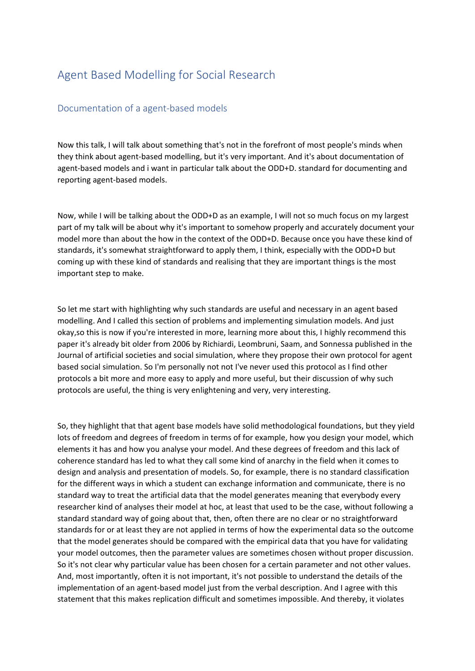## Agent Based Modelling for Social Research

## Documentation of a agent-based models

Now this talk, I will talk about something that's not in the forefront of most people's minds when they think about agent-based modelling, but it's very important. And it's about documentation of agent-based models and i want in particular talk about the ODD+D. standard for documenting and reporting agent-based models.

Now, while I will be talking about the ODD+D as an example, I will not so much focus on my largest part of my talk will be about why it's important to somehow properly and accurately document your model more than about the how in the context of the ODD+D. Because once you have these kind of standards, it's somewhat straightforward to apply them, I think, especially with the ODD+D but coming up with these kind of standards and realising that they are important things is the most important step to make.

So let me start with highlighting why such standards are useful and necessary in an agent based modelling. And I called this section of problems and implementing simulation models. And just okay,so this is now if you're interested in more, learning more about this, I highly recommend this paper it's already bit older from 2006 by Richiardi, Leombruni, Saam, and Sonnessa published in the Journal of artificial societies and social simulation, where they propose their own protocol for agent based social simulation. So I'm personally not not I've never used this protocol as I find other protocols a bit more and more easy to apply and more useful, but their discussion of why such protocols are useful, the thing is very enlightening and very, very interesting.

So, they highlight that that agent base models have solid methodological foundations, but they yield lots of freedom and degrees of freedom in terms of for example, how you design your model, which elements it has and how you analyse your model. And these degrees of freedom and this lack of coherence standard has led to what they call some kind of anarchy in the field when it comes to design and analysis and presentation of models. So, for example, there is no standard classification for the different ways in which a student can exchange information and communicate, there is no standard way to treat the artificial data that the model generates meaning that everybody every researcher kind of analyses their model at hoc, at least that used to be the case, without following a standard standard way of going about that, then, often there are no clear or no straightforward standards for or at least they are not applied in terms of how the experimental data so the outcome that the model generates should be compared with the empirical data that you have for validating your model outcomes, then the parameter values are sometimes chosen without proper discussion. So it's not clear why particular value has been chosen for a certain parameter and not other values. And, most importantly, often it is not important, it's not possible to understand the details of the implementation of an agent-based model just from the verbal description. And I agree with this statement that this makes replication difficult and sometimes impossible. And thereby, it violates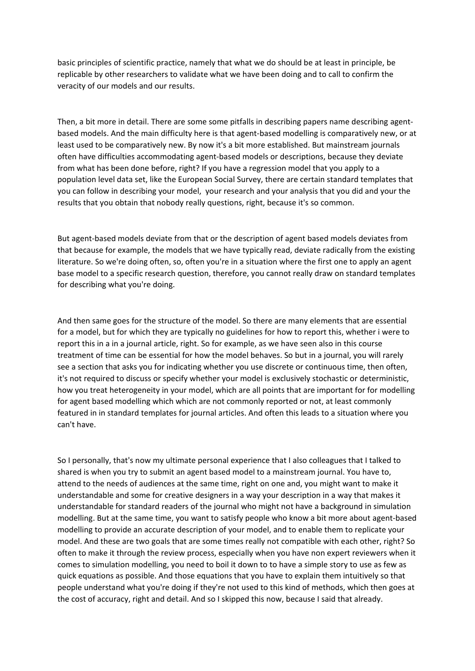basic principles of scientific practice, namely that what we do should be at least in principle, be replicable by other researchers to validate what we have been doing and to call to confirm the veracity of our models and our results.

Then, a bit more in detail. There are some some pitfalls in describing papers name describing agentbased models. And the main difficulty here is that agent-based modelling is comparatively new, or at least used to be comparatively new. By now it's a bit more established. But mainstream journals often have difficulties accommodating agent-based models or descriptions, because they deviate from what has been done before, right? If you have a regression model that you apply to a population level data set, like the European Social Survey, there are certain standard templates that you can follow in describing your model, your research and your analysis that you did and your the results that you obtain that nobody really questions, right, because it's so common.

But agent-based models deviate from that or the description of agent based models deviates from that because for example, the models that we have typically read, deviate radically from the existing literature. So we're doing often, so, often you're in a situation where the first one to apply an agent base model to a specific research question, therefore, you cannot really draw on standard templates for describing what you're doing.

And then same goes for the structure of the model. So there are many elements that are essential for a model, but for which they are typically no guidelines for how to report this, whether i were to report this in a in a journal article, right. So for example, as we have seen also in this course treatment of time can be essential for how the model behaves. So but in a journal, you will rarely see a section that asks you for indicating whether you use discrete or continuous time, then often, it's not required to discuss or specify whether your model is exclusively stochastic or deterministic, how you treat heterogeneity in your model, which are all points that are important for for modelling for agent based modelling which which are not commonly reported or not, at least commonly featured in in standard templates for journal articles. And often this leads to a situation where you can't have.

So I personally, that's now my ultimate personal experience that I also colleagues that I talked to shared is when you try to submit an agent based model to a mainstream journal. You have to, attend to the needs of audiences at the same time, right on one and, you might want to make it understandable and some for creative designers in a way your description in a way that makes it understandable for standard readers of the journal who might not have a background in simulation modelling. But at the same time, you want to satisfy people who know a bit more about agent-based modelling to provide an accurate description of your model, and to enable them to replicate your model. And these are two goals that are some times really not compatible with each other, right? So often to make it through the review process, especially when you have non expert reviewers when it comes to simulation modelling, you need to boil it down to to have a simple story to use as few as quick equations as possible. And those equations that you have to explain them intuitively so that people understand what you're doing if they're not used to this kind of methods, which then goes at the cost of accuracy, right and detail. And so I skipped this now, because I said that already.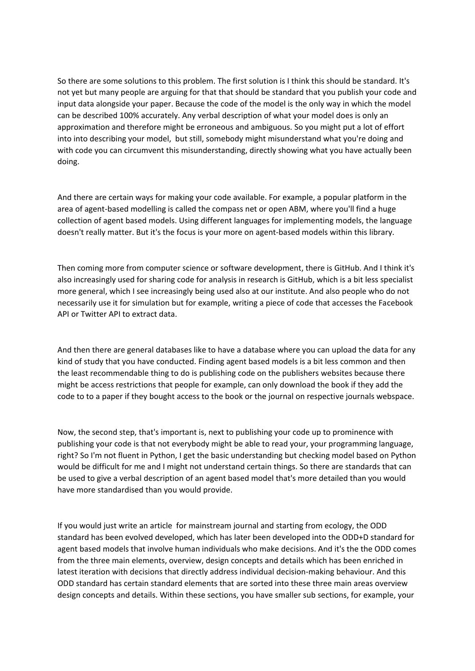So there are some solutions to this problem. The first solution is I think this should be standard. It's not yet but many people are arguing for that that should be standard that you publish your code and input data alongside your paper. Because the code of the model is the only way in which the model can be described 100% accurately. Any verbal description of what your model does is only an approximation and therefore might be erroneous and ambiguous. So you might put a lot of effort into into describing your model, but still, somebody might misunderstand what you're doing and with code you can circumvent this misunderstanding, directly showing what you have actually been doing.

And there are certain ways for making your code available. For example, a popular platform in the area of agent-based modelling is called the compass net or open ABM, where you'll find a huge collection of agent based models. Using different languages for implementing models, the language doesn't really matter. But it's the focus is your more on agent-based models within this library.

Then coming more from computer science or software development, there is GitHub. And I think it's also increasingly used for sharing code for analysis in research is GitHub, which is a bit less specialist more general, which I see increasingly being used also at our institute. And also people who do not necessarily use it for simulation but for example, writing a piece of code that accesses the Facebook API or Twitter API to extract data.

And then there are general databases like to have a database where you can upload the data for any kind of study that you have conducted. Finding agent based models is a bit less common and then the least recommendable thing to do is publishing code on the publishers websites because there might be access restrictions that people for example, can only download the book if they add the code to to a paper if they bought access to the book or the journal on respective journals webspace.

Now, the second step, that's important is, next to publishing your code up to prominence with publishing your code is that not everybody might be able to read your, your programming language, right? So I'm not fluent in Python, I get the basic understanding but checking model based on Python would be difficult for me and I might not understand certain things. So there are standards that can be used to give a verbal description of an agent based model that's more detailed than you would have more standardised than you would provide.

If you would just write an article for mainstream journal and starting from ecology, the ODD standard has been evolved developed, which has later been developed into the ODD+D standard for agent based models that involve human individuals who make decisions. And it's the the ODD comes from the three main elements, overview, design concepts and details which has been enriched in latest iteration with decisions that directly address individual decision-making behaviour. And this ODD standard has certain standard elements that are sorted into these three main areas overview design concepts and details. Within these sections, you have smaller sub sections, for example, your